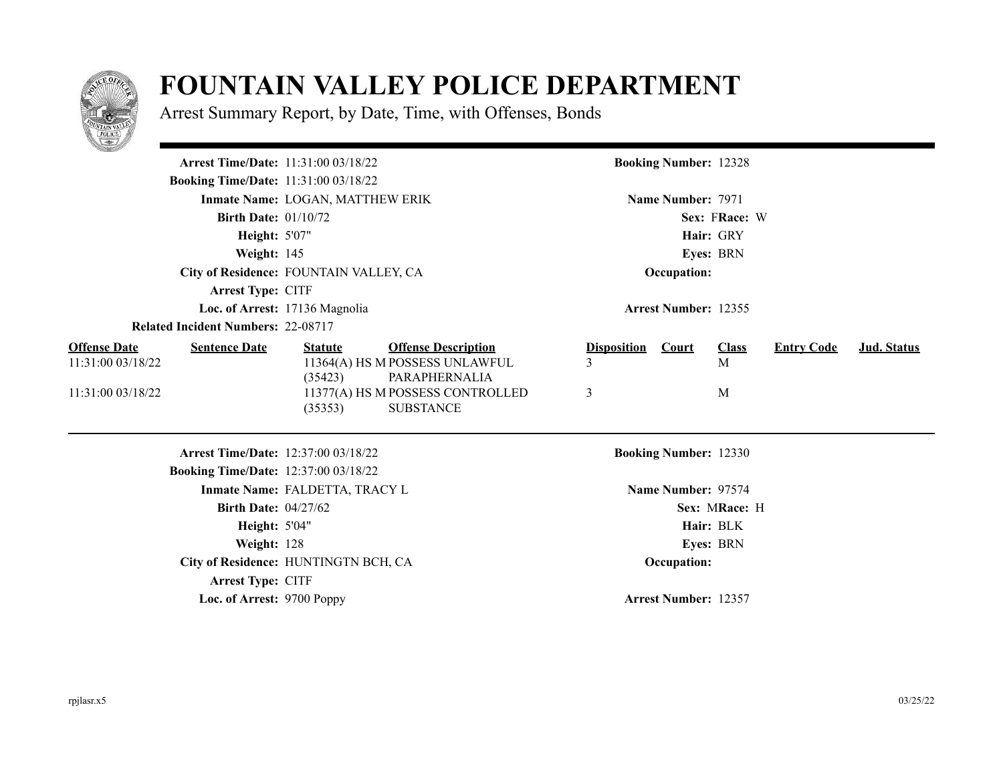

## **FOUNTAIN VALLEY POLICE DEPARTMENT**

Arrest Summary Report, by Date, Time, with Offenses, Bonds

|                                                                                       | Arrest Time/Date: 11:31:00 03/18/22                                                                                                            | <b>Booking Number: 12328</b>                                      |                                         |
|---------------------------------------------------------------------------------------|------------------------------------------------------------------------------------------------------------------------------------------------|-------------------------------------------------------------------|-----------------------------------------|
| <b>Booking Time/Date: 11:31:00 03/18/22</b>                                           |                                                                                                                                                |                                                                   |                                         |
|                                                                                       | Inmate Name: LOGAN, MATTHEW ERIK                                                                                                               | Name Number: 7971                                                 |                                         |
| <b>Birth Date: 01/10/72</b>                                                           |                                                                                                                                                | Sex: FRace: W                                                     |                                         |
| <b>Height: 5'07"</b>                                                                  |                                                                                                                                                | Hair: GRY                                                         |                                         |
| Weight: 145                                                                           |                                                                                                                                                | Eyes: BRN                                                         |                                         |
|                                                                                       | City of Residence: FOUNTAIN VALLEY, CA                                                                                                         | Occupation:                                                       |                                         |
| <b>Arrest Type: CITF</b>                                                              |                                                                                                                                                |                                                                   |                                         |
|                                                                                       | Loc. of Arrest: 17136 Magnolia                                                                                                                 | <b>Arrest Number: 12355</b>                                       |                                         |
| <b>Related Incident Numbers: 22-08717</b>                                             |                                                                                                                                                |                                                                   |                                         |
| <b>Offense Date</b><br><b>Sentence Date</b><br>11:31:00 03/18/22<br>11:31:00 03/18/22 | <b>Offense Description</b><br><b>Statute</b><br>11364(A) HS M POSSESS UNLAWFUL<br>(35423)<br>PARAPHERNALIA<br>11377(A) HS M POSSESS CONTROLLED | <b>Disposition</b><br><b>Court</b><br><b>Class</b><br>M<br>3<br>M | <b>Entry Code</b><br><b>Jud. Status</b> |
|                                                                                       | <b>SUBSTANCE</b><br>(35353)<br>Arrest Time/Date: 12:37:00 03/18/22                                                                             | <b>Booking Number: 12330</b>                                      |                                         |
| <b>Booking Time/Date: 12:37:00 03/18/22</b>                                           |                                                                                                                                                |                                                                   |                                         |
|                                                                                       | Inmate Name: FALDETTA, TRACY L                                                                                                                 | Name Number: 97574                                                |                                         |
| Birth Date: $04/27/62$                                                                |                                                                                                                                                | Sex: MRace: H                                                     |                                         |
| <b>Height: 5'04"</b>                                                                  |                                                                                                                                                | Hair: BLK                                                         |                                         |
| Weight: 128                                                                           |                                                                                                                                                | Eyes: BRN                                                         |                                         |
|                                                                                       | City of Residence: HUNTINGTN BCH, CA                                                                                                           | Occupation:                                                       |                                         |
| Arrest Type: CITF                                                                     |                                                                                                                                                |                                                                   |                                         |
| Loc. of Arrest: 9700 Poppy                                                            |                                                                                                                                                | <b>Arrest Number: 12357</b>                                       |                                         |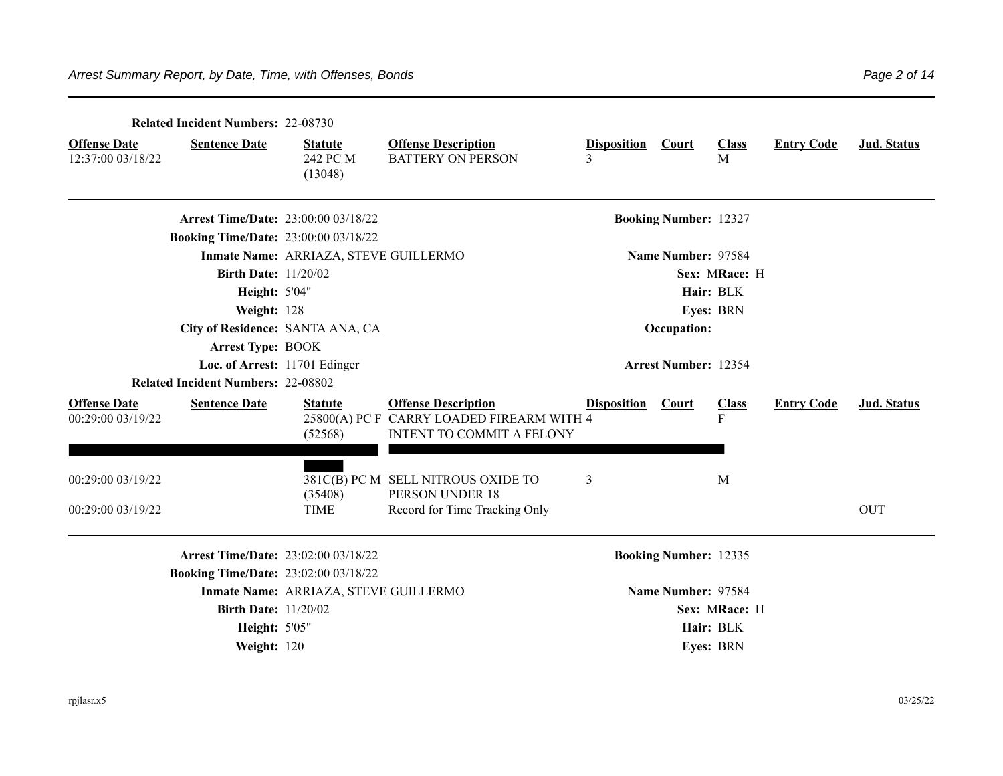|                                          | <b>Related Incident Numbers: 22-08730</b>   |                                       |                                                                                                      |                         |                              |                   |                   |             |
|------------------------------------------|---------------------------------------------|---------------------------------------|------------------------------------------------------------------------------------------------------|-------------------------|------------------------------|-------------------|-------------------|-------------|
| <b>Offense Date</b><br>12:37:00 03/18/22 | <b>Sentence Date</b>                        | <b>Statute</b><br>242 PC M<br>(13048) | <b>Offense Description</b><br><b>BATTERY ON PERSON</b>                                               | <b>Disposition</b><br>3 | <b>Court</b>                 | <b>Class</b><br>M | <b>Entry Code</b> | Jud. Status |
|                                          | <b>Arrest Time/Date: 23:00:00 03/18/22</b>  |                                       |                                                                                                      |                         | <b>Booking Number: 12327</b> |                   |                   |             |
|                                          | <b>Booking Time/Date: 23:00:00 03/18/22</b> |                                       |                                                                                                      |                         |                              |                   |                   |             |
|                                          |                                             | Inmate Name: ARRIAZA, STEVE GUILLERMO |                                                                                                      |                         | Name Number: 97584           |                   |                   |             |
|                                          | <b>Birth Date: 11/20/02</b>                 |                                       |                                                                                                      |                         |                              | Sex: MRace: H     |                   |             |
|                                          | <b>Height: 5'04"</b>                        |                                       |                                                                                                      |                         |                              | Hair: BLK         |                   |             |
|                                          | Weight: 128                                 |                                       |                                                                                                      |                         |                              | Eyes: BRN         |                   |             |
|                                          | City of Residence: SANTA ANA, CA            |                                       |                                                                                                      |                         | Occupation:                  |                   |                   |             |
|                                          | <b>Arrest Type: BOOK</b>                    |                                       |                                                                                                      |                         |                              |                   |                   |             |
|                                          | Loc. of Arrest: 11701 Edinger               |                                       |                                                                                                      |                         | <b>Arrest Number: 12354</b>  |                   |                   |             |
|                                          | <b>Related Incident Numbers: 22-08802</b>   |                                       |                                                                                                      |                         |                              |                   |                   |             |
| <b>Offense Date</b><br>00:29:00 03/19/22 | <b>Sentence Date</b>                        | <b>Statute</b><br>(52568)             | <b>Offense Description</b><br>25800(A) PC F CARRY LOADED FIREARM WITH 4<br>INTENT TO COMMIT A FELONY | <b>Disposition</b>      | <b>Court</b>                 | <b>Class</b><br>F | <b>Entry Code</b> | Jud. Status |
| 00:29:00 03/19/22                        |                                             | (35408)                               | 381C(B) PC M SELL NITROUS OXIDE TO<br>PERSON UNDER 18                                                | 3                       |                              | M                 |                   |             |
| 00:29:00 03/19/22                        |                                             | <b>TIME</b>                           | Record for Time Tracking Only                                                                        |                         |                              |                   |                   | <b>OUT</b>  |
|                                          | <b>Arrest Time/Date: 23:02:00 03/18/22</b>  |                                       |                                                                                                      |                         | <b>Booking Number: 12335</b> |                   |                   |             |
|                                          | <b>Booking Time/Date: 23:02:00 03/18/22</b> |                                       |                                                                                                      |                         |                              |                   |                   |             |
|                                          |                                             | Inmate Name: ARRIAZA, STEVE GUILLERMO |                                                                                                      |                         | Name Number: 97584           |                   |                   |             |
|                                          | <b>Birth Date: 11/20/02</b>                 |                                       |                                                                                                      |                         |                              | Sex: MRace: H     |                   |             |
|                                          | <b>Height: 5'05"</b>                        |                                       |                                                                                                      |                         |                              | Hair: BLK         |                   |             |
|                                          | Weight: 120                                 |                                       |                                                                                                      |                         |                              | Eves: BRN         |                   |             |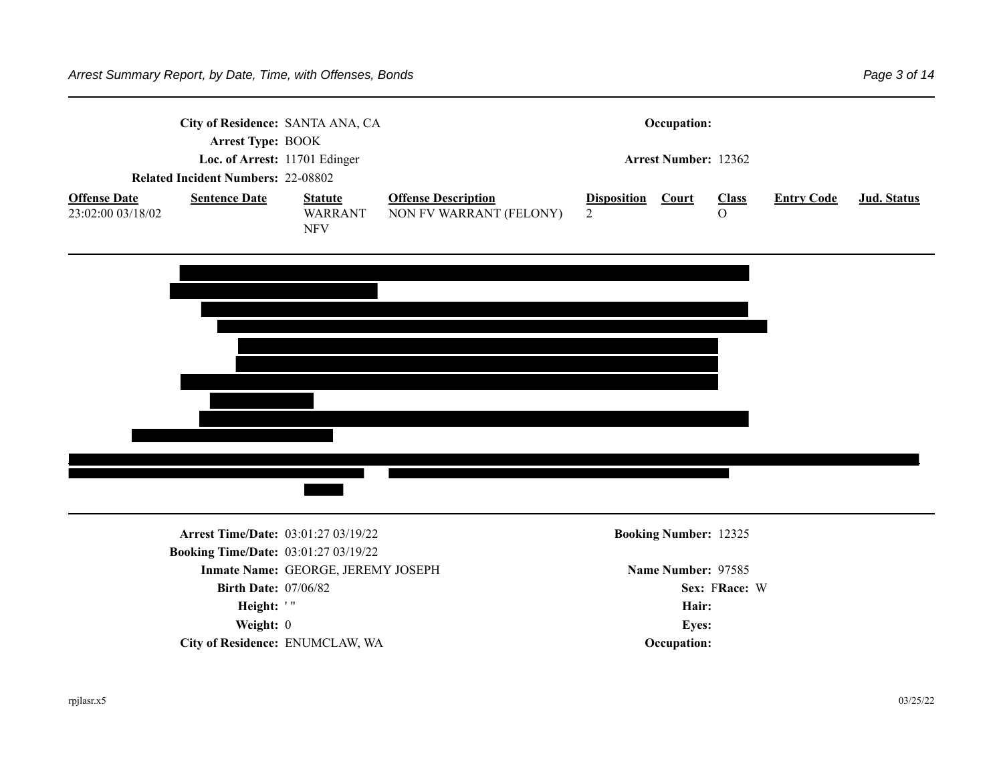|                                          | City of Residence: SANTA ANA, CA<br>Arrest Type: BOOK<br>Loc. of Arrest: 11701 Edinger |                                                |                                                       |                        | Occupation:<br><b>Arrest Number: 12362</b> |                              |                   |             |
|------------------------------------------|----------------------------------------------------------------------------------------|------------------------------------------------|-------------------------------------------------------|------------------------|--------------------------------------------|------------------------------|-------------------|-------------|
|                                          | <b>Related Incident Numbers: 22-08802</b>                                              |                                                |                                                       |                        |                                            |                              |                   |             |
| <b>Offense Date</b><br>23:02:00 03/18/02 | <b>Sentence Date</b>                                                                   | <b>Statute</b><br><b>WARRANT</b><br><b>NFV</b> | <b>Offense Description</b><br>NON FV WARRANT (FELONY) | Disposition Court<br>2 |                                            | <b>Class</b><br>$\mathbf{O}$ | <b>Entry Code</b> | Jud. Status |
|                                          |                                                                                        |                                                |                                                       |                        |                                            |                              |                   |             |
|                                          |                                                                                        |                                                |                                                       |                        |                                            |                              |                   |             |
|                                          |                                                                                        |                                                |                                                       |                        |                                            |                              |                   |             |
|                                          |                                                                                        |                                                |                                                       |                        |                                            |                              |                   |             |
|                                          |                                                                                        |                                                |                                                       |                        |                                            |                              |                   |             |
|                                          |                                                                                        |                                                |                                                       |                        |                                            |                              |                   |             |
|                                          | <b>Arrest Time/Date: 03:01:27 03/19/22</b>                                             |                                                |                                                       |                        | <b>Booking Number: 12325</b>               |                              |                   |             |
|                                          | <b>Booking Time/Date: 03:01:27 03/19/22</b>                                            |                                                |                                                       |                        |                                            |                              |                   |             |
|                                          |                                                                                        | Inmate Name: GEORGE, JEREMY JOSEPH             |                                                       |                        | Name Number: 97585                         |                              |                   |             |
|                                          | <b>Birth Date: 07/06/82</b>                                                            |                                                |                                                       |                        |                                            | Sex: FRace: W                |                   |             |
|                                          | Height: '"                                                                             |                                                |                                                       |                        | Hair:                                      |                              |                   |             |
|                                          | Weight: 0                                                                              |                                                |                                                       |                        | Eyes:                                      |                              |                   |             |
|                                          | City of Residence: ENUMCLAW, WA                                                        |                                                |                                                       |                        | Occupation:                                |                              |                   |             |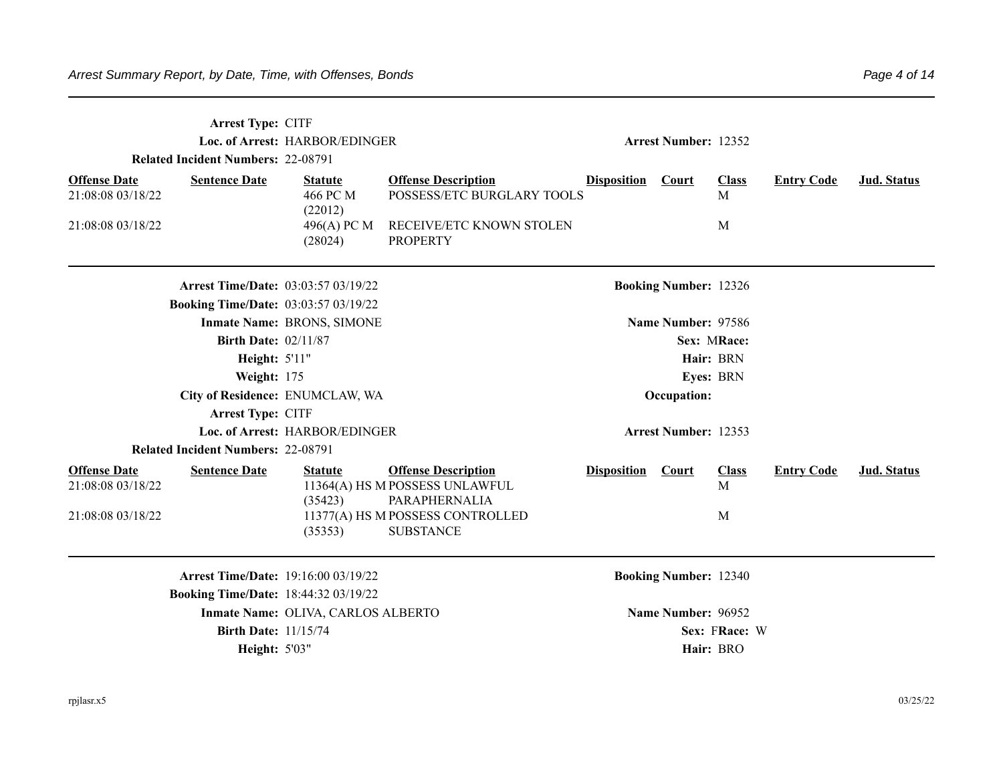|                                          | Arrest Type: CITF<br><b>Related Incident Numbers: 22-08791</b> | Loc. of Arrest: HARBOR/EDINGER        |                                                                               |                    | <b>Arrest Number: 12352</b>  |                   |                   |                    |
|------------------------------------------|----------------------------------------------------------------|---------------------------------------|-------------------------------------------------------------------------------|--------------------|------------------------------|-------------------|-------------------|--------------------|
| <b>Offense Date</b><br>21:08:08 03/18/22 | <b>Sentence Date</b>                                           | <b>Statute</b><br>466 PC M<br>(22012) | <b>Offense Description</b><br>POSSESS/ETC BURGLARY TOOLS                      | <b>Disposition</b> | Court                        | <b>Class</b><br>M | <b>Entry Code</b> | Jud. Status        |
| 21:08:08 03/18/22                        |                                                                | 496(A) PC M<br>(28024)                | RECEIVE/ETC KNOWN STOLEN<br><b>PROPERTY</b>                                   |                    |                              | M                 |                   |                    |
|                                          | <b>Arrest Time/Date: 03:03:57 03/19/22</b>                     |                                       |                                                                               |                    | <b>Booking Number: 12326</b> |                   |                   |                    |
|                                          | <b>Booking Time/Date: 03:03:57 03/19/22</b>                    | Inmate Name: BRONS, SIMONE            |                                                                               |                    | Name Number: 97586           |                   |                   |                    |
|                                          | <b>Birth Date: 02/11/87</b>                                    |                                       |                                                                               |                    |                              | Sex: MRace:       |                   |                    |
|                                          | Height: 5'11"                                                  |                                       |                                                                               |                    |                              | Hair: BRN         |                   |                    |
|                                          | Weight: 175                                                    |                                       |                                                                               |                    |                              | Eyes: BRN         |                   |                    |
|                                          | City of Residence: ENUMCLAW, WA                                |                                       |                                                                               |                    | Occupation:                  |                   |                   |                    |
|                                          | Arrest Type: CITF                                              |                                       |                                                                               |                    |                              |                   |                   |                    |
|                                          |                                                                | Loc. of Arrest: HARBOR/EDINGER        |                                                                               |                    | <b>Arrest Number: 12353</b>  |                   |                   |                    |
|                                          | <b>Related Incident Numbers: 22-08791</b>                      |                                       |                                                                               |                    |                              |                   |                   |                    |
| <b>Offense Date</b><br>21:08:08 03/18/22 | <b>Sentence Date</b>                                           | <b>Statute</b><br>(35423)             | <b>Offense Description</b><br>11364(A) HS M POSSESS UNLAWFUL<br>PARAPHERNALIA | <b>Disposition</b> | Court                        | <b>Class</b><br>M | <b>Entry Code</b> | <b>Jud. Status</b> |
| 21:08:08 03/18/22                        |                                                                | (35353)                               | 11377(A) HS M POSSESS CONTROLLED<br><b>SUBSTANCE</b>                          |                    |                              | M                 |                   |                    |
|                                          | <b>Arrest Time/Date: 19:16:00 03/19/22</b>                     |                                       |                                                                               |                    | <b>Booking Number: 12340</b> |                   |                   |                    |
|                                          | <b>Booking Time/Date: 18:44:32 03/19/22</b>                    |                                       |                                                                               |                    |                              |                   |                   |                    |
|                                          |                                                                | Inmate Name: OLIVA, CARLOS ALBERTO    |                                                                               |                    | Name Number: 96952           |                   |                   |                    |
|                                          | <b>Birth Date: 11/15/74</b>                                    |                                       |                                                                               |                    |                              | Sex: FRace: W     |                   |                    |
|                                          | Height: 5'03"                                                  |                                       |                                                                               |                    |                              | Hair: BRO         |                   |                    |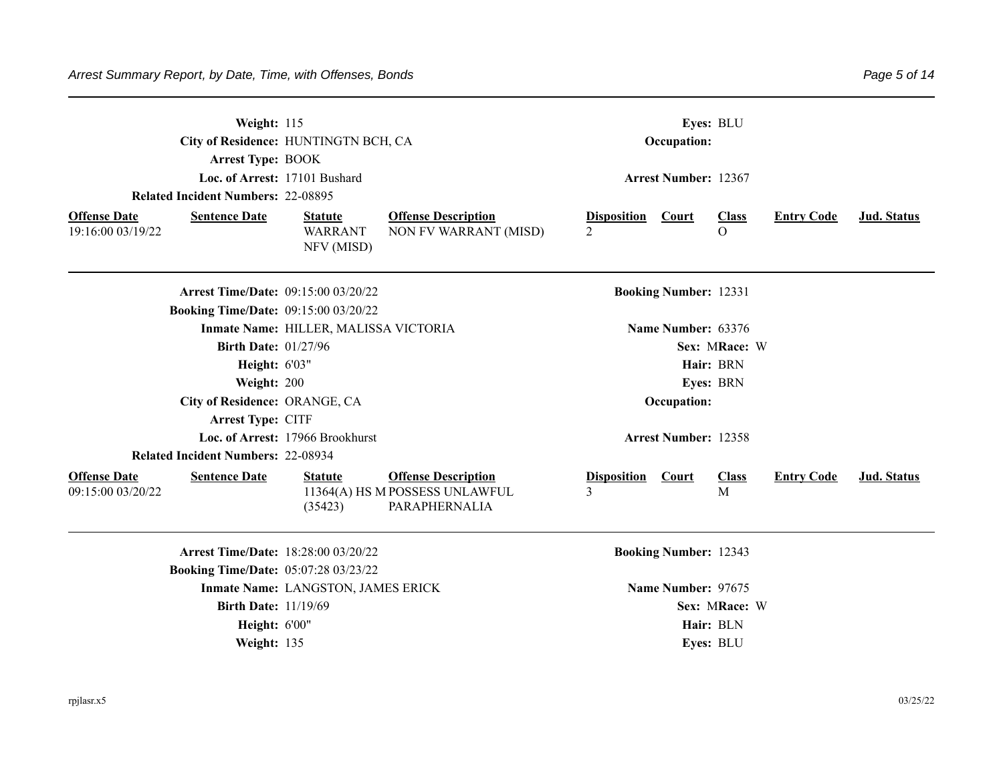| Weight: 115<br><b>Arrest Type: BOOK</b>                          | City of Residence: HUNTINGTN BCH, CA<br>Loc. of Arrest: 17101 Bushard                |                                                                               |                                                | Occupation:                  | Eyes: BLU                  |                   |             |
|------------------------------------------------------------------|--------------------------------------------------------------------------------------|-------------------------------------------------------------------------------|------------------------------------------------|------------------------------|----------------------------|-------------------|-------------|
| <b>Related Incident Numbers: 22-08895</b>                        |                                                                                      |                                                                               |                                                | <b>Arrest Number: 12367</b>  |                            |                   |             |
| <b>Offense Date</b><br><b>Sentence Date</b><br>19:16:00 03/19/22 | <b>Statute</b><br><b>WARRANT</b><br>NFV (MISD)                                       | <b>Offense Description</b><br>NON FV WARRANT (MISD)                           | <b>Disposition</b><br>$\overline{\mathcal{L}}$ | Court                        | <b>Class</b><br>$\Omega$   | <b>Entry Code</b> | Jud. Status |
|                                                                  | <b>Arrest Time/Date: 09:15:00 03/20/22</b>                                           |                                                                               |                                                | <b>Booking Number: 12331</b> |                            |                   |             |
|                                                                  | <b>Booking Time/Date: 09:15:00 03/20/22</b><br>Inmate Name: HILLER, MALISSA VICTORIA |                                                                               |                                                | Name Number: 63376           |                            |                   |             |
|                                                                  | <b>Birth Date: 01/27/96</b><br><b>Height: 6'03"</b>                                  |                                                                               |                                                |                              | Sex: MRace: W<br>Hair: BRN |                   |             |
|                                                                  | Weight: 200                                                                          |                                                                               |                                                |                              | Eyes: BRN                  |                   |             |
|                                                                  | City of Residence: ORANGE, CA                                                        |                                                                               |                                                | Occupation:                  |                            |                   |             |
| Arrest Type: CITF                                                |                                                                                      |                                                                               |                                                |                              |                            |                   |             |
|                                                                  | Loc. of Arrest: 17966 Brookhurst                                                     |                                                                               |                                                | <b>Arrest Number: 12358</b>  |                            |                   |             |
| <b>Related Incident Numbers: 22-08934</b>                        |                                                                                      |                                                                               |                                                |                              |                            |                   |             |
| <b>Offense Date</b><br><b>Sentence Date</b><br>09:15:00 03/20/22 | <b>Statute</b><br>(35423)                                                            | <b>Offense Description</b><br>11364(A) HS M POSSESS UNLAWFUL<br>PARAPHERNALIA | <b>Disposition</b><br>3                        | <b>Court</b>                 | <b>Class</b><br>M          | <b>Entry Code</b> | Jud. Status |
|                                                                  | Arrest Time/Date: 18:28:00 03/20/22                                                  |                                                                               |                                                | <b>Booking Number: 12343</b> |                            |                   |             |
|                                                                  | <b>Booking Time/Date: 05:07:28 03/23/22</b>                                          |                                                                               |                                                |                              |                            |                   |             |
|                                                                  | Inmate Name: LANGSTON, JAMES ERICK<br><b>Birth Date: 11/19/69</b>                    |                                                                               |                                                | Name Number: 97675           | Sex: MRace: W              |                   |             |
|                                                                  | <b>Height: 6'00"</b>                                                                 |                                                                               |                                                |                              | Hair: BLN                  |                   |             |
|                                                                  | Weight: 135                                                                          |                                                                               |                                                |                              | Eyes: BLU                  |                   |             |
|                                                                  |                                                                                      |                                                                               |                                                |                              |                            |                   |             |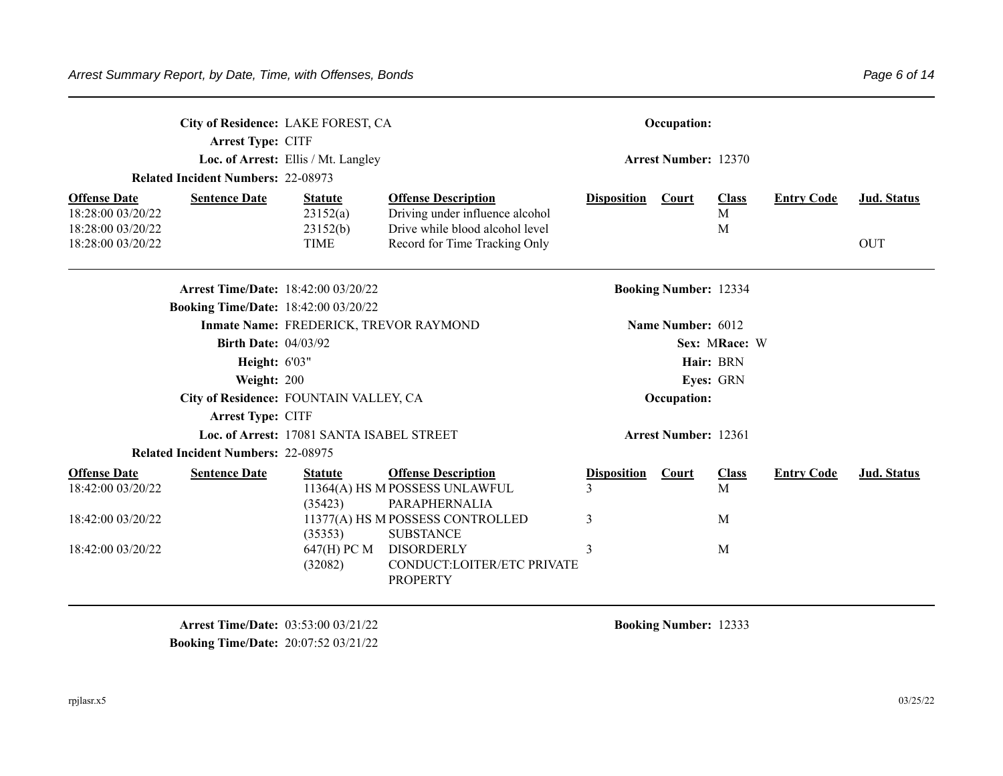|                                          | City of Residence: LAKE FOREST, CA<br>Arrest Type: CITF |                                           |                                                                               |                                     | Occupation:                  |                   |                   |                    |
|------------------------------------------|---------------------------------------------------------|-------------------------------------------|-------------------------------------------------------------------------------|-------------------------------------|------------------------------|-------------------|-------------------|--------------------|
|                                          |                                                         | Loc. of Arrest: Ellis / Mt. Langley       |                                                                               |                                     | <b>Arrest Number: 12370</b>  |                   |                   |                    |
|                                          | <b>Related Incident Numbers: 22-08973</b>               |                                           |                                                                               |                                     |                              |                   |                   |                    |
| <b>Offense Date</b><br>18:28:00 03/20/22 | <b>Sentence Date</b>                                    | <b>Statute</b><br>23152(a)                | <b>Offense Description</b><br>Driving under influence alcohol                 | <b>Disposition</b>                  | <b>Court</b>                 | <b>Class</b><br>M | <b>Entry Code</b> | Jud. Status        |
| 18:28:00 03/20/22<br>18:28:00 03/20/22   |                                                         | 23152(b)<br><b>TIME</b>                   | Drive while blood alcohol level<br>Record for Time Tracking Only              |                                     |                              | M                 |                   | <b>OUT</b>         |
|                                          | Arrest Time/Date: 18:42:00 03/20/22                     |                                           |                                                                               |                                     | <b>Booking Number: 12334</b> |                   |                   |                    |
|                                          | <b>Booking Time/Date: 18:42:00 03/20/22</b>             |                                           |                                                                               |                                     |                              |                   |                   |                    |
|                                          |                                                         | Inmate Name: FREDERICK, TREVOR RAYMOND    |                                                                               |                                     | Name Number: 6012            |                   |                   |                    |
|                                          | <b>Birth Date: 04/03/92</b>                             |                                           |                                                                               |                                     |                              | Sex: MRace: W     |                   |                    |
|                                          | <b>Height: 6'03"</b>                                    |                                           |                                                                               |                                     |                              | Hair: BRN         |                   |                    |
|                                          | Weight: 200                                             |                                           |                                                                               |                                     |                              | Eyes: GRN         |                   |                    |
|                                          | City of Residence: FOUNTAIN VALLEY, CA                  |                                           |                                                                               |                                     | Occupation:                  |                   |                   |                    |
|                                          | <b>Arrest Type: CITF</b>                                |                                           |                                                                               |                                     |                              |                   |                   |                    |
|                                          |                                                         | Loc. of Arrest: 17081 SANTA ISABEL STREET |                                                                               |                                     | <b>Arrest Number: 12361</b>  |                   |                   |                    |
|                                          | <b>Related Incident Numbers: 22-08975</b>               |                                           |                                                                               |                                     |                              |                   |                   |                    |
| <b>Offense Date</b><br>18:42:00 03/20/22 | <b>Sentence Date</b>                                    | <b>Statute</b><br>(35423)                 | <b>Offense Description</b><br>11364(A) HS M POSSESS UNLAWFUL<br>PARAPHERNALIA | <b>Disposition</b><br>$\mathcal{E}$ | <b>Court</b>                 | <b>Class</b><br>M | <b>Entry Code</b> | <b>Jud.</b> Status |
| 18:42:00 03/20/22                        |                                                         | (35353)                                   | 11377(A) HS M POSSESS CONTROLLED<br><b>SUBSTANCE</b>                          | 3                                   |                              | M                 |                   |                    |
| 18:42:00 03/20/22                        |                                                         | 647(H) PC M<br>(32082)                    | <b>DISORDERLY</b><br>CONDUCT:LOITER/ETC PRIVATE<br><b>PROPERTY</b>            | 3                                   |                              | M                 |                   |                    |

**Arrest Time/Date:** 03:53:00 03/21/22 **Booking Number:** 12333 **Booking Time/Date:** 20:07:52 03/21/22

rpjlasr.x5 03/25/22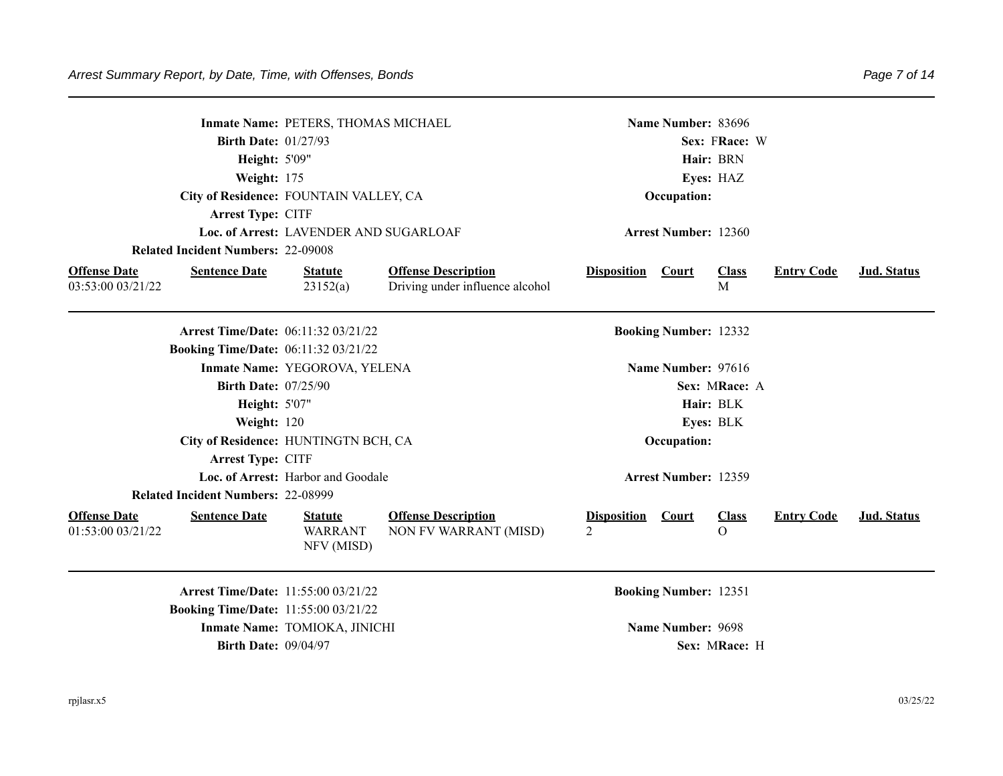|                                          |                                             | Inmate Name: PETERS, THOMAS MICHAEL            |                                                               |                         | Name Number: 83696           |                             |                   |                    |
|------------------------------------------|---------------------------------------------|------------------------------------------------|---------------------------------------------------------------|-------------------------|------------------------------|-----------------------------|-------------------|--------------------|
|                                          | <b>Birth Date: 01/27/93</b>                 |                                                |                                                               |                         |                              | Sex: FRace: W               |                   |                    |
|                                          | Height: 5'09"                               |                                                |                                                               |                         |                              | Hair: BRN                   |                   |                    |
|                                          | Weight: 175                                 |                                                |                                                               |                         |                              | Eyes: HAZ                   |                   |                    |
|                                          |                                             | City of Residence: FOUNTAIN VALLEY, CA         |                                                               |                         | Occupation:                  |                             |                   |                    |
|                                          | Arrest Type: CITF                           |                                                |                                                               |                         |                              |                             |                   |                    |
|                                          |                                             | Loc. of Arrest: LAVENDER AND SUGARLOAF         |                                                               |                         | <b>Arrest Number: 12360</b>  |                             |                   |                    |
|                                          | <b>Related Incident Numbers: 22-09008</b>   |                                                |                                                               |                         |                              |                             |                   |                    |
| <b>Offense Date</b><br>03:53:00 03/21/22 | <b>Sentence Date</b>                        | <b>Statute</b><br>23152(a)                     | <b>Offense Description</b><br>Driving under influence alcohol | <b>Disposition</b>      | <b>Court</b>                 | <b>Class</b><br>$\mathbf M$ | <b>Entry Code</b> | Jud. Status        |
|                                          |                                             |                                                |                                                               |                         |                              |                             |                   |                    |
|                                          | Arrest Time/Date: 06:11:32 03/21/22         |                                                |                                                               |                         | <b>Booking Number: 12332</b> |                             |                   |                    |
|                                          | <b>Booking Time/Date: 06:11:32 03/21/22</b> |                                                |                                                               |                         |                              |                             |                   |                    |
|                                          |                                             | Inmate Name: YEGOROVA, YELENA                  |                                                               |                         | Name Number: 97616           |                             |                   |                    |
|                                          | <b>Birth Date: 07/25/90</b>                 |                                                |                                                               |                         |                              | Sex: MRace: A               |                   |                    |
|                                          | <b>Height: 5'07"</b>                        |                                                |                                                               |                         |                              | Hair: BLK                   |                   |                    |
|                                          | Weight: 120                                 |                                                |                                                               |                         |                              | Eyes: BLK                   |                   |                    |
|                                          |                                             | City of Residence: HUNTINGTN BCH, CA           |                                                               |                         | Occupation:                  |                             |                   |                    |
|                                          | Arrest Type: CITF                           |                                                |                                                               |                         |                              |                             |                   |                    |
|                                          |                                             | Loc. of Arrest: Harbor and Goodale             |                                                               |                         | <b>Arrest Number: 12359</b>  |                             |                   |                    |
|                                          | <b>Related Incident Numbers: 22-08999</b>   |                                                |                                                               |                         |                              |                             |                   |                    |
| <b>Offense Date</b><br>01:53:00 03/21/22 | <b>Sentence Date</b>                        | <b>Statute</b><br><b>WARRANT</b><br>NFV (MISD) | <b>Offense Description</b><br>NON FV WARRANT (MISD)           | <b>Disposition</b><br>2 | Court                        | <b>Class</b><br>$\Omega$    | <b>Entry Code</b> | <b>Jud. Status</b> |
|                                          | <b>Arrest Time/Date: 11:55:00 03/21/22</b>  |                                                |                                                               |                         | <b>Booking Number: 12351</b> |                             |                   |                    |
|                                          | <b>Booking Time/Date: 11:55:00 03/21/22</b> |                                                |                                                               |                         |                              |                             |                   |                    |
|                                          |                                             | Inmate Name: TOMIOKA, JINICHI                  |                                                               |                         | Name Number: 9698            |                             |                   |                    |
|                                          | <b>Birth Date: 09/04/97</b>                 |                                                |                                                               |                         |                              | Sex: MRace: H               |                   |                    |
|                                          |                                             |                                                |                                                               |                         |                              |                             |                   |                    |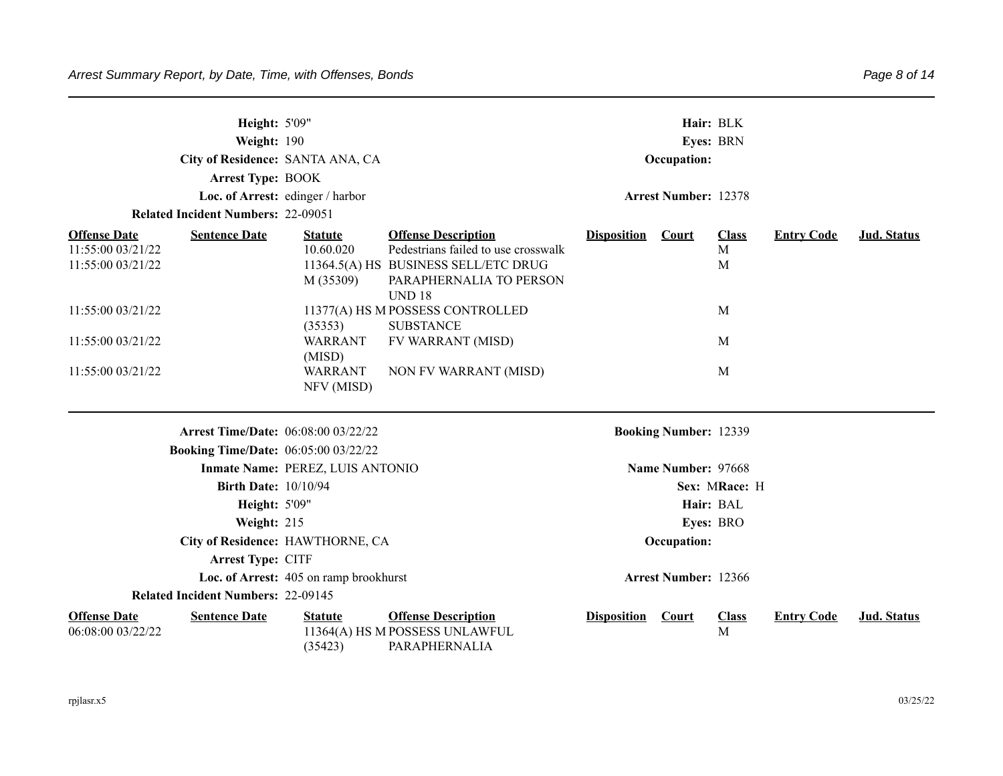|                                                               | <b>Height: 5'09"</b><br>Weight: 190<br><b>Arrest Type: BOOK</b> | City of Residence: SANTA ANA, CA<br>Loc. of Arrest: edinger / harbor |                                                                                                                                                       |                    | Occupation:<br><b>Arrest Number: 12378</b> | Hair: BLK<br>Eyes: BRN           |                   |                    |
|---------------------------------------------------------------|-----------------------------------------------------------------|----------------------------------------------------------------------|-------------------------------------------------------------------------------------------------------------------------------------------------------|--------------------|--------------------------------------------|----------------------------------|-------------------|--------------------|
|                                                               | <b>Related Incident Numbers: 22-09051</b>                       |                                                                      |                                                                                                                                                       |                    |                                            |                                  |                   |                    |
| <b>Offense Date</b><br>11:55:00 03/21/22<br>11:55:00 03/21/22 | <b>Sentence Date</b>                                            | <b>Statute</b><br>10.60.020<br>M (35309)                             | <b>Offense Description</b><br>Pedestrians failed to use crosswalk<br>11364.5(A) HS BUSINESS SELL/ETC DRUG<br>PARAPHERNALIA TO PERSON<br><b>UND 18</b> | <b>Disposition</b> | <b>Court</b>                               | <b>Class</b><br>$\mathbf M$<br>M | <b>Entry Code</b> | <b>Jud. Status</b> |
| 11:55:00 03/21/22                                             |                                                                 | (35353)                                                              | 11377(A) HS M POSSESS CONTROLLED<br><b>SUBSTANCE</b>                                                                                                  |                    |                                            | M                                |                   |                    |
| 11:55:00 03/21/22                                             |                                                                 | <b>WARRANT</b><br>(MISD)                                             | FV WARRANT (MISD)                                                                                                                                     |                    |                                            | M                                |                   |                    |
| 11:55:00 03/21/22                                             |                                                                 | <b>WARRANT</b><br>NFV (MISD)                                         | NON FV WARRANT (MISD)                                                                                                                                 |                    |                                            | M                                |                   |                    |
|                                                               | <b>Arrest Time/Date: 06:08:00 03/22/22</b>                      |                                                                      |                                                                                                                                                       |                    | <b>Booking Number: 12339</b>               |                                  |                   |                    |
|                                                               | <b>Booking Time/Date: 06:05:00 03/22/22</b>                     |                                                                      |                                                                                                                                                       |                    |                                            |                                  |                   |                    |
|                                                               |                                                                 | Inmate Name: PEREZ, LUIS ANTONIO                                     |                                                                                                                                                       |                    | Name Number: 97668                         |                                  |                   |                    |
|                                                               | <b>Birth Date: 10/10/94</b>                                     |                                                                      |                                                                                                                                                       |                    |                                            | Sex: MRace: H                    |                   |                    |
|                                                               | <b>Height: 5'09"</b>                                            |                                                                      |                                                                                                                                                       |                    |                                            | Hair: BAL                        |                   |                    |
|                                                               | Weight: 215                                                     |                                                                      |                                                                                                                                                       |                    |                                            | Eyes: BRO                        |                   |                    |
|                                                               |                                                                 | City of Residence: HAWTHORNE, CA                                     |                                                                                                                                                       |                    | Occupation:                                |                                  |                   |                    |
|                                                               | Arrest Type: CITF                                               |                                                                      |                                                                                                                                                       |                    |                                            |                                  |                   |                    |
|                                                               |                                                                 | Loc. of Arrest: 405 on ramp brookhurst                               |                                                                                                                                                       |                    | <b>Arrest Number: 12366</b>                |                                  |                   |                    |
|                                                               | <b>Related Incident Numbers: 22-09145</b>                       |                                                                      |                                                                                                                                                       |                    |                                            |                                  |                   |                    |
| <b>Offense Date</b><br>06:08:00 03/22/22                      | <b>Sentence Date</b>                                            | <b>Statute</b><br>(35423)                                            | <b>Offense Description</b><br>11364(A) HS M POSSESS UNLAWFUL<br>PARAPHERNALIA                                                                         | <b>Disposition</b> | <b>Court</b>                               | <b>Class</b><br>M                | <b>Entry Code</b> | Jud. Status        |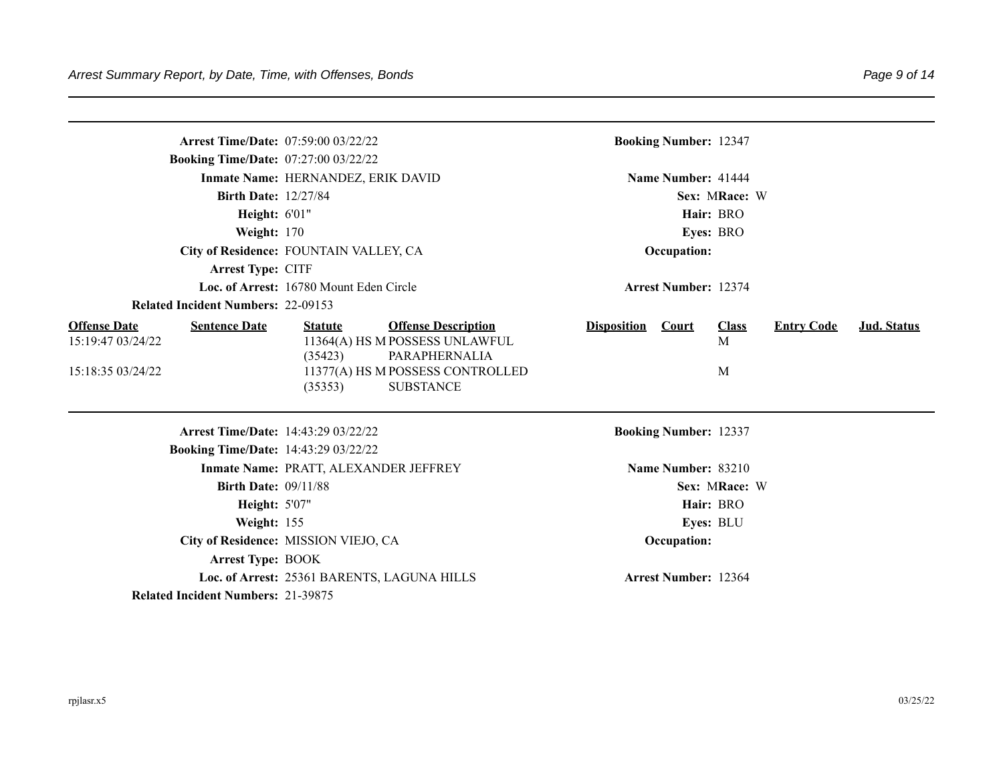|                                                                  | <b>Arrest Time/Date: 07:59:00 03/22/22</b>  |                                                                               |                    | <b>Booking Number: 12347</b> |                   |                   |             |
|------------------------------------------------------------------|---------------------------------------------|-------------------------------------------------------------------------------|--------------------|------------------------------|-------------------|-------------------|-------------|
| <b>Booking Time/Date: 07:27:00 03/22/22</b>                      |                                             |                                                                               |                    |                              |                   |                   |             |
|                                                                  | Inmate Name: HERNANDEZ, ERIK DAVID          |                                                                               |                    | Name Number: 41444           |                   |                   |             |
| <b>Birth Date: 12/27/84</b>                                      |                                             |                                                                               |                    |                              | Sex: MRace: W     |                   |             |
| Height: 6'01"                                                    |                                             |                                                                               |                    |                              | Hair: BRO         |                   |             |
| Weight: 170                                                      |                                             |                                                                               |                    |                              | Eyes: BRO         |                   |             |
|                                                                  | City of Residence: FOUNTAIN VALLEY, CA      |                                                                               |                    | Occupation:                  |                   |                   |             |
| Arrest Type: CITF                                                |                                             |                                                                               |                    |                              |                   |                   |             |
|                                                                  | Loc. of Arrest: 16780 Mount Eden Circle     |                                                                               |                    | <b>Arrest Number: 12374</b>  |                   |                   |             |
| <b>Related Incident Numbers: 22-09153</b>                        |                                             |                                                                               |                    |                              |                   |                   |             |
| <b>Offense Date</b><br><b>Sentence Date</b><br>15:19:47 03/24/22 | <b>Statute</b><br>(35423)                   | <b>Offense Description</b><br>11364(A) HS M POSSESS UNLAWFUL<br>PARAPHERNALIA | <b>Disposition</b> | <b>Court</b>                 | <b>Class</b><br>M | <b>Entry Code</b> | Jud. Status |
| 15:18:35 03/24/22                                                | (35353)                                     | 11377(A) HS M POSSESS CONTROLLED<br><b>SUBSTANCE</b>                          |                    |                              | M                 |                   |             |
|                                                                  | <b>Arrest Time/Date: 14:43:29 03/22/22</b>  |                                                                               |                    | <b>Booking Number: 12337</b> |                   |                   |             |
| Booking Time/Date: 14:43:29 03/22/22                             |                                             |                                                                               |                    |                              |                   |                   |             |
|                                                                  | Inmate Name: PRATT, ALEXANDER JEFFREY       |                                                                               |                    | Name Number: 83210           |                   |                   |             |
| <b>Birth Date: 09/11/88</b>                                      |                                             |                                                                               |                    |                              | Sex: MRace: W     |                   |             |
| <b>Height: 5'07"</b>                                             |                                             |                                                                               |                    |                              | Hair: BRO         |                   |             |
| Weight: 155                                                      |                                             |                                                                               |                    |                              | Eyes: BLU         |                   |             |
|                                                                  | City of Residence: MISSION VIEJO, CA        |                                                                               |                    | Occupation:                  |                   |                   |             |
| <b>Arrest Type: BOOK</b>                                         |                                             |                                                                               |                    |                              |                   |                   |             |
|                                                                  | Loc. of Arrest: 25361 BARENTS, LAGUNA HILLS |                                                                               |                    | <b>Arrest Number: 12364</b>  |                   |                   |             |
| <b>Related Incident Numbers: 21-39875</b>                        |                                             |                                                                               |                    |                              |                   |                   |             |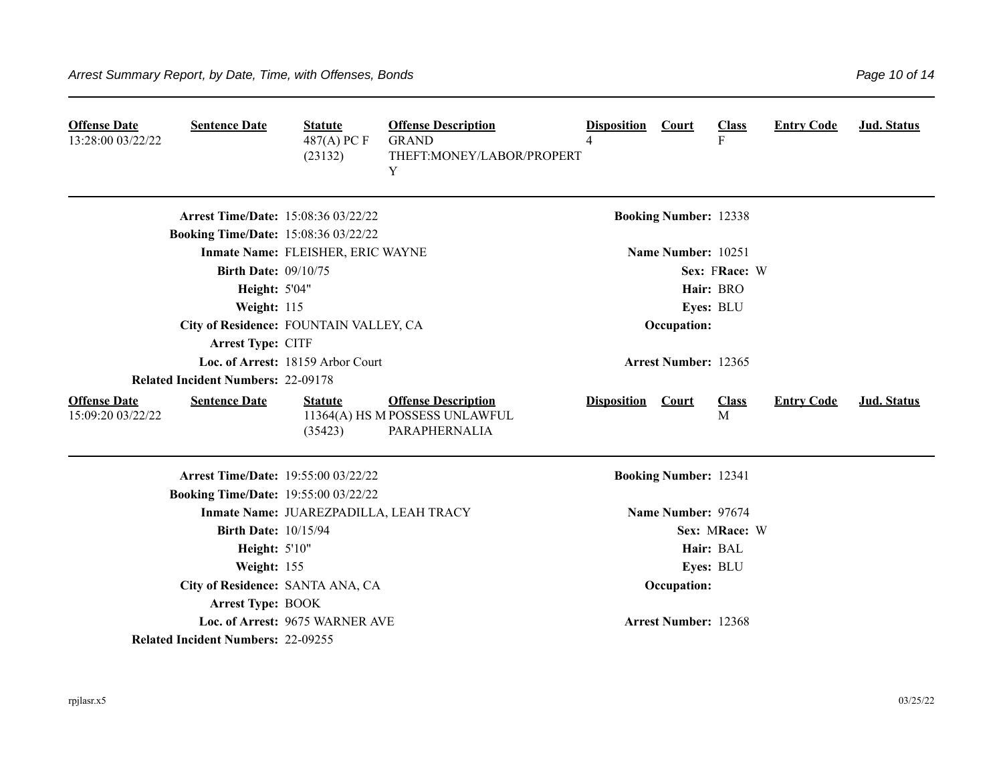| <b>Offense Date</b><br>13:28:00 03/22/22 | <b>Sentence Date</b>                        | <b>Statute</b><br>$487(A)$ PC F<br>(23132) | <b>Offense Description</b><br><b>GRAND</b><br>THEFT:MONEY/LABOR/PROPERT<br>Y  | <b>Disposition</b><br>4 | <b>Court</b>                 | <b>Class</b><br>F | <b>Entry Code</b> | <b>Jud. Status</b> |
|------------------------------------------|---------------------------------------------|--------------------------------------------|-------------------------------------------------------------------------------|-------------------------|------------------------------|-------------------|-------------------|--------------------|
|                                          | <b>Arrest Time/Date: 15:08:36 03/22/22</b>  |                                            |                                                                               |                         | <b>Booking Number: 12338</b> |                   |                   |                    |
|                                          | <b>Booking Time/Date: 15:08:36 03/22/22</b> |                                            |                                                                               |                         |                              |                   |                   |                    |
|                                          |                                             | Inmate Name: FLEISHER, ERIC WAYNE          |                                                                               |                         | Name Number: 10251           |                   |                   |                    |
|                                          | <b>Birth Date: 09/10/75</b>                 |                                            |                                                                               |                         |                              | Sex: FRace: W     |                   |                    |
|                                          | Height: 5'04"                               |                                            |                                                                               |                         |                              | Hair: BRO         |                   |                    |
|                                          | Weight: 115                                 |                                            |                                                                               |                         |                              | Eyes: BLU         |                   |                    |
|                                          | City of Residence: FOUNTAIN VALLEY, CA      |                                            |                                                                               |                         | Occupation:                  |                   |                   |                    |
|                                          | Arrest Type: CITF                           |                                            |                                                                               |                         |                              |                   |                   |                    |
|                                          |                                             | Loc. of Arrest: 18159 Arbor Court          |                                                                               |                         | <b>Arrest Number: 12365</b>  |                   |                   |                    |
|                                          | <b>Related Incident Numbers: 22-09178</b>   |                                            |                                                                               |                         |                              |                   |                   |                    |
| <b>Offense Date</b><br>15:09:20 03/22/22 | <b>Sentence Date</b>                        | <b>Statute</b><br>(35423)                  | <b>Offense Description</b><br>11364(A) HS M POSSESS UNLAWFUL<br>PARAPHERNALIA | <b>Disposition</b>      | Court                        | <b>Class</b><br>M | <b>Entry Code</b> | <b>Jud. Status</b> |
|                                          | <b>Arrest Time/Date: 19:55:00 03/22/22</b>  |                                            |                                                                               |                         | <b>Booking Number: 12341</b> |                   |                   |                    |
|                                          | <b>Booking Time/Date: 19:55:00 03/22/22</b> |                                            |                                                                               |                         |                              |                   |                   |                    |
|                                          |                                             | Inmate Name: JUAREZPADILLA, LEAH TRACY     |                                                                               |                         | Name Number: 97674           |                   |                   |                    |
|                                          | <b>Birth Date: 10/15/94</b>                 |                                            |                                                                               |                         |                              | Sex: MRace: W     |                   |                    |
|                                          | Height: 5'10"                               |                                            |                                                                               |                         |                              | Hair: BAL         |                   |                    |
|                                          | Weight: 155                                 |                                            |                                                                               |                         |                              | Eyes: BLU         |                   |                    |
|                                          | City of Residence: SANTA ANA, CA            |                                            |                                                                               |                         | Occupation:                  |                   |                   |                    |
|                                          | <b>Arrest Type: BOOK</b>                    |                                            |                                                                               |                         |                              |                   |                   |                    |
|                                          |                                             | Loc. of Arrest: 9675 WARNER AVE            |                                                                               |                         | <b>Arrest Number: 12368</b>  |                   |                   |                    |
|                                          | <b>Related Incident Numbers: 22-09255</b>   |                                            |                                                                               |                         |                              |                   |                   |                    |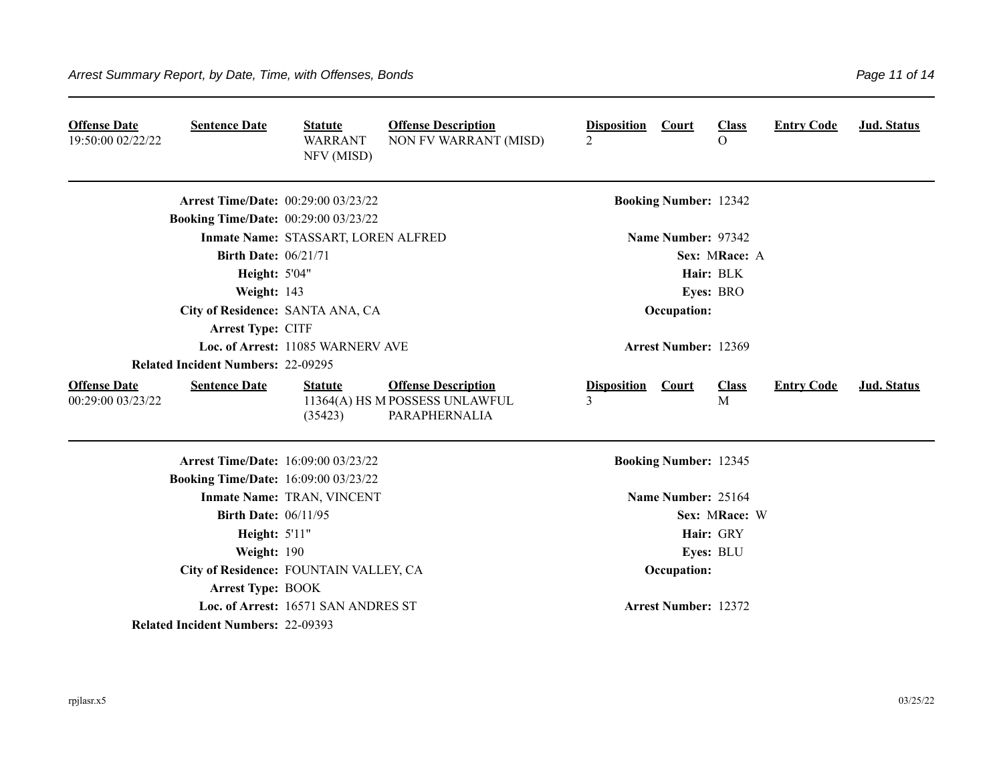| <b>Offense Date</b><br>19:50:00 02/22/22 | <b>Sentence Date</b>                        | <b>Statute</b><br><b>WARRANT</b><br>NFV (MISD) | <b>Offense Description</b><br>NON FV WARRANT (MISD)                           | <b>Disposition Court</b><br>$\overline{2}$ |                              | <b>Class</b><br>$\Omega$ | <b>Entry Code</b> | Jud. Status        |
|------------------------------------------|---------------------------------------------|------------------------------------------------|-------------------------------------------------------------------------------|--------------------------------------------|------------------------------|--------------------------|-------------------|--------------------|
|                                          | <b>Arrest Time/Date: 00:29:00 03/23/22</b>  |                                                |                                                                               |                                            | <b>Booking Number: 12342</b> |                          |                   |                    |
|                                          | <b>Booking Time/Date: 00:29:00 03/23/22</b> |                                                |                                                                               |                                            |                              |                          |                   |                    |
|                                          |                                             | Inmate Name: STASSART, LOREN ALFRED            |                                                                               |                                            | Name Number: 97342           |                          |                   |                    |
|                                          | <b>Birth Date: 06/21/71</b>                 |                                                |                                                                               |                                            |                              | Sex: MRace: A            |                   |                    |
|                                          | <b>Height: 5'04"</b>                        |                                                |                                                                               |                                            |                              | Hair: BLK                |                   |                    |
|                                          | Weight: 143                                 |                                                |                                                                               |                                            |                              | Eyes: BRO                |                   |                    |
|                                          | City of Residence: SANTA ANA, CA            |                                                |                                                                               |                                            | Occupation:                  |                          |                   |                    |
|                                          | Arrest Type: CITF                           |                                                |                                                                               |                                            |                              |                          |                   |                    |
|                                          |                                             | Loc. of Arrest: 11085 WARNERV AVE              |                                                                               |                                            | <b>Arrest Number: 12369</b>  |                          |                   |                    |
|                                          | <b>Related Incident Numbers: 22-09295</b>   |                                                |                                                                               |                                            |                              |                          |                   |                    |
| <b>Offense Date</b><br>00:29:00 03/23/22 | <b>Sentence Date</b>                        | <b>Statute</b><br>(35423)                      | <b>Offense Description</b><br>11364(A) HS M POSSESS UNLAWFUL<br>PARAPHERNALIA | <b>Disposition</b><br>3                    | <b>Court</b>                 | <b>Class</b><br>M        | <b>Entry Code</b> | <b>Jud. Status</b> |
|                                          | <b>Arrest Time/Date: 16:09:00 03/23/22</b>  |                                                |                                                                               |                                            | <b>Booking Number: 12345</b> |                          |                   |                    |
|                                          | <b>Booking Time/Date: 16:09:00 03/23/22</b> |                                                |                                                                               |                                            |                              |                          |                   |                    |
|                                          |                                             | Inmate Name: TRAN, VINCENT                     |                                                                               |                                            | Name Number: 25164           |                          |                   |                    |
|                                          | <b>Birth Date: 06/11/95</b>                 |                                                |                                                                               |                                            |                              | Sex: MRace: W            |                   |                    |
|                                          | Height: 5'11"                               |                                                |                                                                               |                                            |                              | Hair: GRY                |                   |                    |
|                                          | Weight: 190                                 |                                                |                                                                               |                                            |                              | Eyes: BLU                |                   |                    |
|                                          | City of Residence: FOUNTAIN VALLEY, CA      |                                                |                                                                               |                                            | Occupation:                  |                          |                   |                    |
|                                          | <b>Arrest Type: BOOK</b>                    |                                                |                                                                               |                                            |                              |                          |                   |                    |
|                                          |                                             | Loc. of Arrest: 16571 SAN ANDRES ST            |                                                                               |                                            | <b>Arrest Number: 12372</b>  |                          |                   |                    |
|                                          | <b>Related Incident Numbers: 22-09393</b>   |                                                |                                                                               |                                            |                              |                          |                   |                    |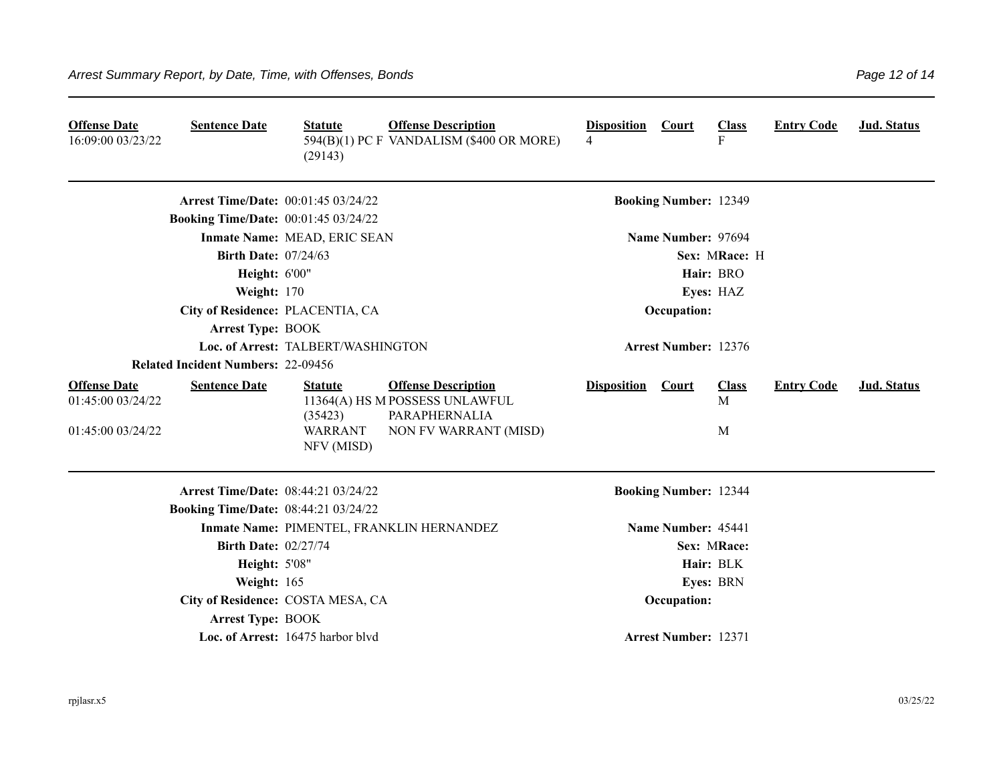| <b>Offense Date</b><br>16:09:00 03/23/22                      | <b>Sentence Date</b>                        | <b>Statute</b><br>(29143)                                 | <b>Offense Description</b><br>594(B)(1) PC F VANDALISM (\$400 OR MORE)                                 | <b>Disposition Court</b><br>4 |                              | <b>Class</b><br>$\mathbf{F}$ | <b>Entry Code</b> | Jud. Status |
|---------------------------------------------------------------|---------------------------------------------|-----------------------------------------------------------|--------------------------------------------------------------------------------------------------------|-------------------------------|------------------------------|------------------------------|-------------------|-------------|
|                                                               | <b>Arrest Time/Date: 00:01:45 03/24/22</b>  |                                                           |                                                                                                        |                               | <b>Booking Number: 12349</b> |                              |                   |             |
|                                                               | <b>Booking Time/Date: 00:01:45 03/24/22</b> |                                                           |                                                                                                        |                               |                              |                              |                   |             |
|                                                               |                                             | Inmate Name: MEAD, ERIC SEAN                              |                                                                                                        |                               | Name Number: 97694           |                              |                   |             |
|                                                               | <b>Birth Date: 07/24/63</b>                 |                                                           |                                                                                                        |                               |                              | Sex: MRace: H                |                   |             |
|                                                               | Height: 6'00"                               |                                                           |                                                                                                        |                               |                              | Hair: BRO                    |                   |             |
|                                                               | Weight: 170                                 |                                                           |                                                                                                        |                               |                              | Eyes: HAZ                    |                   |             |
|                                                               | City of Residence: PLACENTIA, CA            |                                                           |                                                                                                        |                               | Occupation:                  |                              |                   |             |
|                                                               | <b>Arrest Type: BOOK</b>                    |                                                           |                                                                                                        |                               |                              |                              |                   |             |
|                                                               |                                             | Loc. of Arrest: TALBERT/WASHINGTON                        |                                                                                                        |                               | <b>Arrest Number: 12376</b>  |                              |                   |             |
|                                                               | <b>Related Incident Numbers: 22-09456</b>   |                                                           |                                                                                                        |                               |                              |                              |                   |             |
| <b>Offense Date</b><br>01:45:00 03/24/22<br>01:45:00 03/24/22 | <b>Sentence Date</b>                        | <b>Statute</b><br>(35423)<br><b>WARRANT</b><br>NFV (MISD) | <b>Offense Description</b><br>11364(A) HS M POSSESS UNLAWFUL<br>PARAPHERNALIA<br>NON FV WARRANT (MISD) | <b>Disposition</b>            | <b>Court</b>                 | <b>Class</b><br>M<br>M       | <b>Entry Code</b> | Jud. Status |
|                                                               | Arrest Time/Date: 08:44:21 03/24/22         |                                                           |                                                                                                        |                               | <b>Booking Number: 12344</b> |                              |                   |             |
|                                                               | <b>Booking Time/Date: 08:44:21 03/24/22</b> |                                                           |                                                                                                        |                               |                              |                              |                   |             |
|                                                               |                                             |                                                           | Inmate Name: PIMENTEL, FRANKLIN HERNANDEZ                                                              |                               | Name Number: 45441           |                              |                   |             |
|                                                               | <b>Birth Date: 02/27/74</b>                 |                                                           |                                                                                                        |                               |                              | Sex: MRace:                  |                   |             |
|                                                               | <b>Height: 5'08"</b>                        |                                                           |                                                                                                        |                               |                              | Hair: BLK                    |                   |             |
|                                                               | Weight: 165                                 |                                                           |                                                                                                        |                               |                              | Eyes: BRN                    |                   |             |
|                                                               |                                             | City of Residence: COSTA MESA, CA                         |                                                                                                        |                               | Occupation:                  |                              |                   |             |
|                                                               | <b>Arrest Type: BOOK</b>                    |                                                           |                                                                                                        |                               |                              |                              |                   |             |
|                                                               |                                             | Loc. of Arrest: 16475 harbor blvd                         |                                                                                                        |                               | <b>Arrest Number: 12371</b>  |                              |                   |             |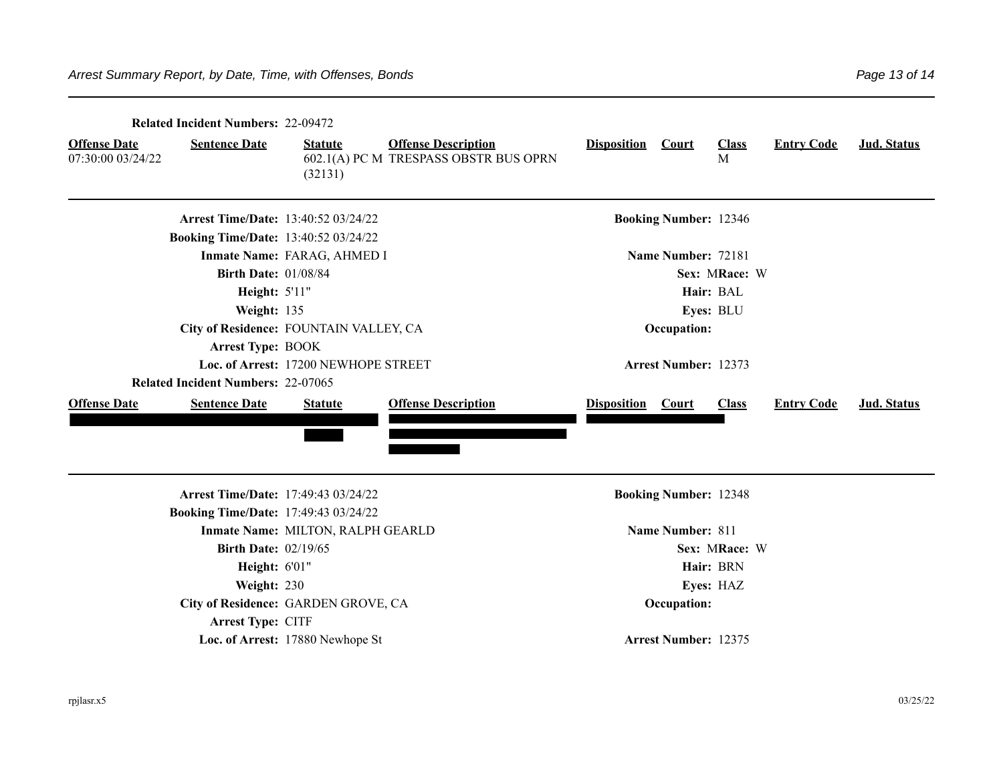| <b>Related Incident Numbers: 22-09472</b>                        |                                             |                                                                     |                              |                              |                   |                   |             |  |  |  |  |
|------------------------------------------------------------------|---------------------------------------------|---------------------------------------------------------------------|------------------------------|------------------------------|-------------------|-------------------|-------------|--|--|--|--|
| <b>Offense Date</b><br><b>Sentence Date</b><br>07:30:00 03/24/22 | <b>Statute</b><br>(32131)                   | <b>Offense Description</b><br>602.1(A) PC M TRESPASS OBSTR BUS OPRN | <b>Disposition</b>           | Court                        | <b>Class</b><br>M | <b>Entry Code</b> | Jud. Status |  |  |  |  |
|                                                                  | <b>Arrest Time/Date: 13:40:52 03/24/22</b>  |                                                                     |                              | <b>Booking Number: 12346</b> |                   |                   |             |  |  |  |  |
|                                                                  | <b>Booking Time/Date: 13:40:52 03/24/22</b> |                                                                     |                              |                              |                   |                   |             |  |  |  |  |
|                                                                  | Inmate Name: FARAG, AHMED I                 |                                                                     |                              | Name Number: 72181           |                   |                   |             |  |  |  |  |
|                                                                  | <b>Birth Date: 01/08/84</b>                 |                                                                     | Sex: MRace: W                |                              |                   |                   |             |  |  |  |  |
|                                                                  | Height: 5'11"                               |                                                                     |                              |                              | Hair: BAL         |                   |             |  |  |  |  |
| Weight: 135                                                      |                                             |                                                                     |                              |                              | Eyes: BLU         |                   |             |  |  |  |  |
|                                                                  | City of Residence: FOUNTAIN VALLEY, CA      |                                                                     |                              | Occupation:                  |                   |                   |             |  |  |  |  |
| <b>Arrest Type: BOOK</b>                                         |                                             |                                                                     |                              |                              |                   |                   |             |  |  |  |  |
|                                                                  | Loc. of Arrest: 17200 NEWHOPE STREET        |                                                                     |                              | <b>Arrest Number: 12373</b>  |                   |                   |             |  |  |  |  |
| <b>Related Incident Numbers: 22-07065</b>                        |                                             |                                                                     |                              |                              |                   |                   |             |  |  |  |  |
| <b>Offense Date</b><br><b>Sentence Date</b>                      | <b>Statute</b>                              | <b>Offense Description</b>                                          | <b>Disposition</b> Court     |                              | <b>Class</b>      | <b>Entry Code</b> | Jud. Status |  |  |  |  |
|                                                                  | <b>Arrest Time/Date: 17:49:43 03/24/22</b>  |                                                                     | <b>Booking Number: 12348</b> |                              |                   |                   |             |  |  |  |  |
|                                                                  | <b>Booking Time/Date: 17:49:43 03/24/22</b> |                                                                     |                              |                              |                   |                   |             |  |  |  |  |
|                                                                  | Inmate Name: MILTON, RALPH GEARLD           |                                                                     | <b>Name Number: 811</b>      |                              |                   |                   |             |  |  |  |  |
|                                                                  | <b>Birth Date: 02/19/65</b>                 |                                                                     |                              |                              | Sex: MRace: W     |                   |             |  |  |  |  |
|                                                                  | Height: 6'01"                               |                                                                     | Hair: BRN                    |                              |                   |                   |             |  |  |  |  |
| Weight: 230                                                      |                                             |                                                                     | Eyes: HAZ                    |                              |                   |                   |             |  |  |  |  |
|                                                                  | City of Residence: GARDEN GROVE, CA         |                                                                     |                              | Occupation:                  |                   |                   |             |  |  |  |  |
| Arrest Type: CITF                                                |                                             |                                                                     |                              |                              |                   |                   |             |  |  |  |  |
|                                                                  | Loc. of Arrest: 17880 Newhope St            |                                                                     |                              | <b>Arrest Number: 12375</b>  |                   |                   |             |  |  |  |  |